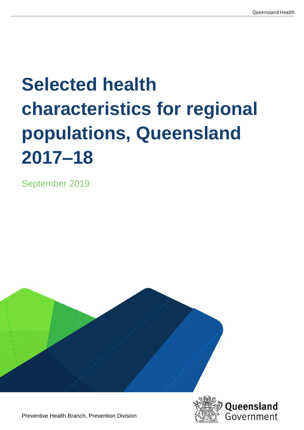# **Selected health characteristics for regional populations, Queensland 2017–18**

September 2019





Preventive Health Branch, Prevention Division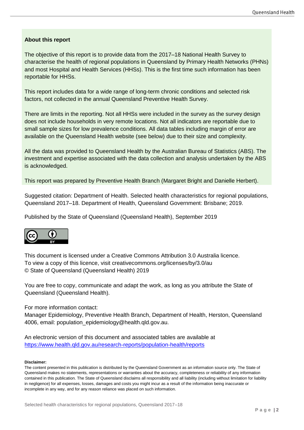#### **About this report**

The objective of this report is to provide data from the 2017–18 National Health Survey to characterise the health of regional populations in Queensland by Primary Health Networks (PHNs) and most Hospital and Health Services (HHSs). This is the first time such information has been reportable for HHSs.

This report includes data for a wide range of long-term chronic conditions and selected risk factors, not collected in the annual Queensland Preventive Health Survey.

There are limits in the reporting. Not all HHSs were included in the survey as the survey design does not include households in very remote locations. Not all indicators are reportable due to small sample sizes for low prevalence conditions. All data tables including margin of error are available on the Queensland Health website (see below) due to their size and complexity.

All the data was provided to Queensland Health by the Australian Bureau of Statistics (ABS). The investment and expertise associated with the data collection and analysis undertaken by the ABS is acknowledged.

This report was prepared by Preventive Health Branch (Margaret Bright and Danielle Herbert).

Suggested citation: Department of Health. Selected health characteristics for regional populations, Queensland 2017–18. Department of Health, Queensland Government: Brisbane; 2019.

Published by the State of Queensland (Queensland Health), September 2019



This document is licensed under a Creative Commons Attribution 3.0 Australia licence. To view a copy of this licence, visit creativecommons.org/licenses/by/3.0/au © State of Queensland (Queensland Health) 2019

You are free to copy, communicate and adapt the work, as long as you attribute the State of Queensland (Queensland Health).

For more information contact:

Manager Epidemiology, Preventive Health Branch, Department of Health, Herston, Queensland 4006, email: population\_epidemiology@health.qld.gov.au.

An electronic version of this document and associated tables are available at <https://www.health.qld.gov.au/research-reports/population-health/reports>

#### **Disclaimer:**

The content presented in this publication is distributed by the Queensland Government as an information source only. The State of Queensland makes no statements, representations or warranties about the accuracy, completeness or reliability of any information contained in this publication. The State of Queensland disclaims all responsibility and all liability (including without limitation for liability in negligence) for all expenses, losses, damages and costs you might incur as a result of the information being inaccurate or incomplete in any way, and for any reason reliance was placed on such information.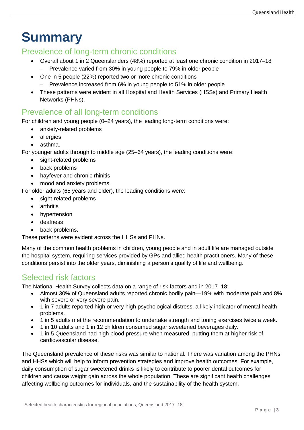## <span id="page-2-0"></span>**Summary**

### Prevalence of long-term chronic conditions

- Overall about 1 in 2 Queenslanders (48%) reported at least one chronic condition in 2017–18
	- − Prevalence varied from 30% in young people to 79% in older people
- One in 5 people (22%) reported two or more chronic conditions
	- − Prevalence increased from 6% in young people to 51% in older people
- These patterns were evident in all Hospital and Health Services (HSSs) and Primary Health Networks (PHNs).

### Prevalence of all long-term conditions

For children and young people (0–24 years), the leading long-term conditions were:

- anxiety-related problems
- allergies
- asthma.

For younger adults through to middle age (25–64 years), the leading conditions were:

- sight-related problems
- back problems
- hayfever and chronic rhinitis
- mood and anxiety problems.

For older adults (65 years and older), the leading conditions were:

- sight-related problems
- **arthritis**
- hypertension
- deafness
- back problems.

These patterns were evident across the HHSs and PHNs.

Many of the common health problems in children, young people and in adult life are managed outside the hospital system, requiring services provided by GPs and allied health practitioners. Many of these conditions persist into the older years, diminishing a person's quality of life and wellbeing.

### Selected risk factors

The National Health Survey collects data on a range of risk factors and in 2017–18:

- Almost 30% of Queensland adults reported chronic bodily pain—19% with moderate pain and 8% with severe or very severe pain.
- 1 in 7 adults reported high or very high psychological distress, a likely indicator of mental health problems.
- 1 in 5 adults met the recommendation to undertake strength and toning exercises twice a week.
- 1 in 10 adults and 1 in 12 children consumed sugar sweetened beverages daily.
- 1 in 5 Queensland had high blood pressure when measured, putting them at higher risk of cardiovascular disease.

The Queensland prevalence of these risks was similar to national. There was variation among the PHNs and HHSs which will help to inform prevention strategies and improve health outcomes. For example, daily consumption of sugar sweetened drinks is likely to contribute to poorer dental outcomes for children and cause weight gain across the whole population. These are significant health challenges affecting wellbeing outcomes for individuals, and the sustainability of the health system.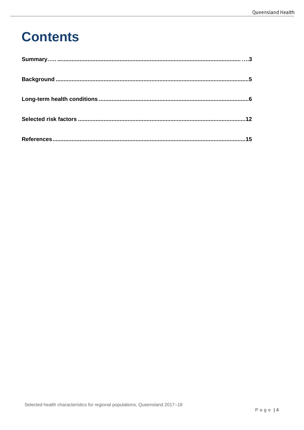## **Contents**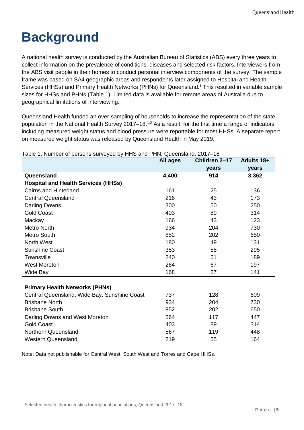## <span id="page-4-0"></span>**Background**

A national health survey is conducted by the Australian Bureau of Statistics (ABS) every three years to collect information on the prevalence of conditions, diseases and selected risk factors. Interviewers from the ABS visit people in their homes to conduct personal interview components of the survey. The sample frame was based on SA4 geographic areas and respondents later assigned to Hospital and Health Services (HHSs) and Primary Health Networks (PHNs) for Queensland. <sup>1</sup> This resulted in variable sample sizes for HHSs and PHNs [\(Table 1\)](#page-4-1). Limited data is available for remote areas of Australia due to geographical limitations of interviewing.

Queensland Health funded an over-sampling of households to increase the representation of the state population in the National Health Survey 2017–18.<sup>1,2</sup> As a result, for the first time a range of indicators including measured weight status and blood pressure were reportable for most HHSs. A separate report on measured weight status was released by Queensland Health in May 2019.

### **All ages Children 2–17 years Adults 18+ years Queensland 4,400 914 3,362 Hospital and Health Services (HHSs)** Cairns and Hinterland 161 161 161 25 136 Central Queensland 216 43 173 Darling Downs 300 50 250 Gold Coast **403** 314 Mackay 166 43 123 Metro North 934 204 730 Metro South 852 202 650 North West 131 Sunshine Coast 353 353 58 295 Townsville 240 51 51 59 West Moreton 264 264 67 197 Wide Bay 168 27 141 **Primary Health Networks (PHNs)** Central Queensland, Wide Bay, Sunshine Coast 737 128 609 Brisbane North 934 204 730 Brisbane South **852 202** 650 Darling Downs and West Moreton 564 564 117 447 Gold Coast **403 403 403 403 114 403 114 403 114 116 116 116 116 116 116 116 116 116 116 116 116 116 116 116 116 116 116 116 116 116 116 116 116 116 116** Northern Queensland 567 119 448 Western Queensland 219 219 55 164

<span id="page-4-1"></span>Table 1. Number of persons surveyed by HHS and PHN, Queensland, 2017–18

Note: Data not publishable for Central West, South West and Torres and Cape HHSs.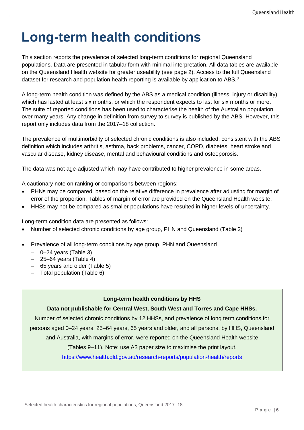## <span id="page-5-0"></span>**Long-term health conditions**

This section reports the prevalence of selected long-term conditions for regional Queensland populations. Data are presented in tabular form with minimal interpretation. All data tables are available on the Queensland Health website for greater useability (see page 2). Access to the full Queensland dataset for research and population health reporting is available by application to ABS.<sup>3</sup>

A long-term health condition was defined by the ABS as a medical condition (illness, injury or disability) which has lasted at least six months, or which the respondent expects to last for six months or more. The suite of reported conditions has been used to characterise the health of the Australian population over many years. Any change in definition from survey to survey is published by the ABS. However, this report only includes data from the 2017–18 collection.

The prevalence of multimorbidity of selected chronic conditions is also included, consistent with the ABS definition which includes arthritis, asthma, back problems, cancer, COPD, diabetes, heart stroke and vascular disease, kidney disease, mental and behavioural conditions and osteoporosis.

The data was not age-adjusted which may have contributed to higher prevalence in some areas.

A cautionary note on ranking or comparisons between regions:

- PHNs may be compared, based on the relative difference in prevalence after adjusting for margin of error of the proportion. Tables of margin of error are provided on the Queensland Health website.
- HHSs may not be compared as smaller populations have resulted in higher levels of uncertainty.

Long-term condition data are presented as follows:

- Number of selected chronic conditions by age group, PHN and Queensland [\(Table 2\)](#page-6-0)
- Prevalence of all long-term conditions by age group, PHN and Queensland
	- − 0–24 years [\(Table 3\)](#page-7-0)
	- − 25–64 years [\(Table 4\)](#page-8-0)
	- − 65 years and older [\(Table 5\)](#page-9-0)
	- − Total population [\(Table 6\)](#page-10-1)

#### **Long-term health conditions by HHS**

#### **Data not publishable for Central West, South West and Torres and Cape HHSs.**

Number of selected chronic conditions by 12 HHSs, and prevalence of long term conditions for persons aged 0–24 years, 25–64 years, 65 years and older, and all persons, by HHS, Queensland and Australia, with margins of error, were reported on the Queensland Health website (Tables 9–11). Note: use A3 paper size to maximise the print layout. <https://www.health.qld.gov.au/research-reports/population-health/reports>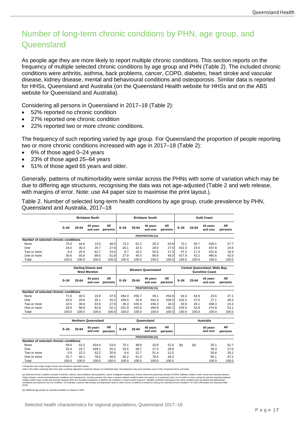## Number of long-term chronic conditions by PHN, age group, and **Queensland**

As people age they are more likely to report multiple chronic conditions. This section reports on the frequency of multiple selected chronic conditions by age group and PHN [\(Table 2\)](#page-6-0). The included chronic conditions were arthritis, asthma, back problems, cancer, COPD, diabetes, heart stroke and vascular disease, kidney disease, mental and behavioural conditions and osteoporosis. Similar data is reported for HHSs, Queensland and Australia (on the Queensland Health website for HHSs and on the ABS website for Queensland and Australia).

Considering all persons in Queensland in 2017–18 [\(Table 2\)](#page-6-0):

- 52% reported no chronic condition
- 27% reported one chronic condition
- 22% reported two or more chronic conditions.

The frequency of such reporting varied by age group. For Queensland the proportion of people reporting two or more chronic conditions increased with age in 2017–18 [\(Table 2\)](#page-6-0):

- 6% of those aged 0–24 years
- 23% of those aged 25–64 years
- 51% of those aged 65 years and older.

Generally, patterns of multimorbidity were similar across the PHNs with some of variation which may be due to differing age structures, recognising the data was not age-adjusted [\(Table 2](#page-6-0) and web release, with margins of error. Note: use A4 paper size to maximise the print layout.).

<span id="page-6-0"></span>Table 2. Number of selected long-term health conditions by age group, crude prevalence by PHN, Queensland and Australia, 2017–18

| 25-64<br>Number of selected chronic conditions | 65 years<br>and over | All<br>persons | $0 - 24$ | 25-64                 | 65 years<br>and over<br><b>PROPORTION (%)</b> | All<br>persons | $0 - 24$ | 25-64 | 65 years<br>and over | All<br>persons |
|------------------------------------------------|----------------------|----------------|----------|-----------------------|-----------------------------------------------|----------------|----------|-------|----------------------|----------------|
|                                                |                      |                |          |                       |                                               |                |          |       |                      |                |
|                                                |                      |                |          |                       |                                               |                |          |       |                      |                |
|                                                |                      |                |          |                       |                                               |                |          |       |                      |                |
| 44.6                                           | 13.5                 | 48.3           | 73.2     | 52.2                  | 20.3                                          | 54.8           | 72.1     | 55.7  | #29.1                | 57.7           |
| 30.3                                           | 26.7                 |                | 20.1     | 32.5                  | 28.0                                          | 27.6           | #22.3    | 23.5  | #37.8                | 24.5           |
| 25.5                                           | 62.7                 | 23.4           | 6.7      | 16.2                  | 55.5                                          | 17.3           | #7.2     | 17.4  | #31.8                | 16.6           |
| 55.8                                           | 89.5                 |                | 27.9     | 49.3                  | 80.6                                          | 45.0           | #27.9    | 42.2  | #65.6                | 42.0           |
| 100.0                                          | 100.0                |                | 100.0    | 100.0                 | 100.0                                         | 100.0          | 100.0    | 100.0 | 100.0                | 100.0          |
|                                                |                      |                |          | 27.8<br>51.8<br>100.0 |                                               |                |          |       |                      |                |

|                                       | Darling Downs and<br><b>West Moreton</b> |       |                      | <b>Western Queensland</b> |          |       |                       | Central Queensland, Wide Bay,<br><b>Sunshine Coast</b> |          |       |                      |                |
|---------------------------------------|------------------------------------------|-------|----------------------|---------------------------|----------|-------|-----------------------|--------------------------------------------------------|----------|-------|----------------------|----------------|
|                                       | $0 - 24$                                 | 25-64 | 65 years<br>and over | All<br>persons            | $0 - 24$ | 25-64 | 65 years<br>and over  | All<br>persons                                         | $0 - 24$ | 25-64 | 65 years<br>and over | All<br>persons |
|                                       |                                          |       |                      |                           |          |       | <b>PROPORTION (%)</b> |                                                        |          |       |                      |                |
| Number of selected chronic conditions |                                          |       |                      |                           |          |       |                       |                                                        |          |       |                      |                |
| None                                  | 71.6                                     | 40.5  | 19.9                 | 47.5                      | #64.3    | #56.7 | #9.1                  | #54.8                                                  | 64.5     | 44.9  | 23.6                 | 47.1           |
| One                                   | 20.6                                     | 29.6  | 25.1                 | 25.2                      | #29.4    | 20.6  | #42.4                 | #26.5                                                  | #32.2    | 27.5  | 27.1                 | 28.3           |
| Two or more                           | 10.5                                     | 30.6  | 63.5                 | 27.6                      | #6.3     | #20.3 | #30.3                 | 18.3                                                   | #3.6     | 26.1  | #48.3                | 24.3           |
| One or more                           | 29.0                                     | 58.8  | 82.8                 | 52.1                      | #31.9    | #42.6 | #84.8                 | #45.2                                                  | #35.5    | 53.8  | #74.9                | 53.1           |
| Total                                 | 100.0                                    | 100.0 | 100.0                | 100.0                     | 100.0    | 100.0 | 100.0                 | 100.0                                                  | 100.0    | 100.0 | 100.0                | 100.0          |

|                                       |          | <b>Northern Queensland</b> |                      |                |          | Queensland |                      |                |     | Australia |                      |                |  |
|---------------------------------------|----------|----------------------------|----------------------|----------------|----------|------------|----------------------|----------------|-----|-----------|----------------------|----------------|--|
|                                       | $0 - 24$ | 25-64                      | 65 years<br>and over | All<br>persons | $0 - 24$ | 25-64      | 65 years<br>and over | All<br>persons |     |           | 65 vears<br>and over | All<br>persons |  |
|                                       |          | <b>PROPORTION (%)</b>      |                      |                |          |            |                      |                |     |           |                      |                |  |
| Number of selected chronic conditions |          |                            |                      |                |          |            |                      |                |     |           |                      |                |  |
| None                                  | 69.6     | 53.3                       | #24.4                | 53.4           | 70.1     | 48.8       | 20.9                 | 51.6           | (b) | (b)       | 20.1                 | 52.7           |  |
| One                                   | 25.4     | 23.7                       | #29.1                | 25.2           | 23.5     | 28.7       | 27.3                 | 26.8           |     |           | 29.3                 | 27.0           |  |
| Two or more                           | 5.5      | 22.2                       | 52.2                 | 20.9           | 6.4      | 22.7       | 51.4                 | 21.5           |     |           | 50.8                 | 20.2           |  |
| One or more                           | 31.7     | 46.1                       | 78.5                 | 46.5           | 30.2     | 51.4       | 78.5                 | 48.3           |     |           | 80.1                 | 47.2           |  |
| Total                                 | 100.0    | 100.0                      | 100.0                | 100.0          | 100.0    | 100.0      | 100.0                | 100.0          |     |           | 100.0                | 100.0          |  |

# Proportion has a high margin of error and should be used with caution.<br>Cells in this table containing data have been randomly adjusted to avoid the release of confidential data. Discrepancies may occur between sums of th

(a) Selected chronic condition consists of arthritis, asthma, base, knowledge to heave the final metally considerate metally and the final metally consider the metally consider discome in the selected of the metally consid 2019).

(b) Additional age groups for Australia available on request to ABS.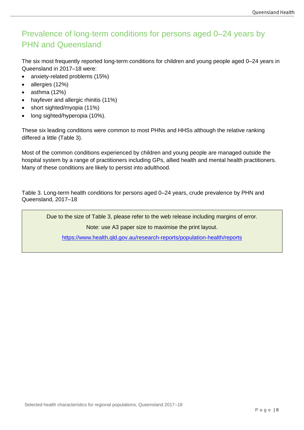### Prevalence of long-term conditions for persons aged 0–24 years by PHN and Queensland

The six most frequently reported long-term conditions for children and young people aged 0–24 years in Queensland in 2017–18 were:

- anxiety-related problems (15%)
- allergies (12%)
- $\bullet$  asthma (12%)
- hayfever and allergic rhinitis (11%)
- short sighted/myopia (11%)
- long sighted/hyperopia (10%).

These six leading conditions were common to most PHNs and HHSs although the relative ranking differed a little [\(Table 3\)](#page-7-0).

Most of the common conditions experienced by children and young people are managed outside the hospital system by a range of practitioners including GPs, allied health and mental health practitioners. Many of these conditions are likely to persist into adulthood.

<span id="page-7-0"></span>Table 3. Long-term health conditions for persons aged 0–24 years, crude prevalence by PHN and Queensland, 2017–18

> Due to the size of Table 3, please refer to the web release including margins of error. Note: use A3 paper size to maximise the print layout.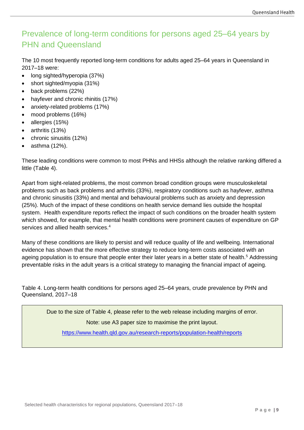## Prevalence of long-term conditions for persons aged 25–64 years by PHN and Queensland

The 10 most frequently reported long-term conditions for adults aged 25–64 years in Queensland in 2017–18 were:

- long sighted/hyperopia (37%)
- short sighted/myopia (31%)
- back problems (22%)
- hayfever and chronic rhinitis (17%)
- anxiety-related problems (17%)
- mood problems (16%)
- allergies (15%)
- arthritis (13%)
- chronic sinusitis (12%)
- $\bullet$  asthma (12%).

These leading conditions were common to most PHNs and HHSs although the relative ranking differed a little [\(Table 4\)](#page-8-0).

Apart from sight-related problems, the most common broad condition groups were musculoskeletal problems such as back problems and arthritis (33%), respiratory conditions such as hayfever, asthma and chronic sinusitis (33%) and mental and behavioural problems such as anxiety and depression (25%). Much of the impact of these conditions on health service demand lies outside the hospital system. Health expenditure reports reflect the impact of such conditions on the broader health system which showed, for example, that mental health conditions were prominent causes of expenditure on GP services and allied health services.<sup>4</sup>

Many of these conditions are likely to persist and will reduce quality of life and wellbeing. International evidence has shown that the more effective strategy to reduce long-term costs associated with an ageing population is to ensure that people enter their later years in a better state of health.<sup>5</sup> Addressing preventable risks in the adult years is a critical strategy to managing the financial impact of ageing.

<span id="page-8-0"></span>Table 4. Long-term health conditions for persons aged 25–64 years, crude prevalence by PHN and Queensland, 2017–18

Due to the size of Table 4, please refer to the web release including margins of error.

Note: use A3 paper size to maximise the print layout.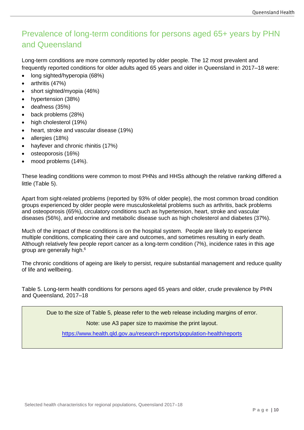## Prevalence of long-term conditions for persons aged 65+ years by PHN and Queensland

Long-term conditions are more commonly reported by older people. The 12 most prevalent and frequently reported conditions for older adults aged 65 years and older in Queensland in 2017–18 were:

- long sighted/hyperopia (68%)
- arthritis (47%)
- short sighted/myopia (46%)
- hypertension (38%)
- deafness (35%)
- back problems (28%)
- high cholesterol (19%)
- heart, stroke and vascular disease (19%)
- allergies (18%)
- hayfever and chronic rhinitis (17%)
- osteoporosis (16%)
- mood problems (14%).

These leading conditions were common to most PHNs and HHSs although the relative ranking differed a little [\(Table 5\)](#page-9-0).

Apart from sight-related problems (reported by 93% of older people), the most common broad condition groups experienced by older people were musculoskeletal problems such as arthritis, back problems and osteoporosis (65%), circulatory conditions such as hypertension, heart, stroke and vascular diseases (56%), and endocrine and metabolic disease such as high cholesterol and diabetes (37%).

Much of the impact of these conditions is on the hospital system. People are likely to experience multiple conditions, complicating their care and outcomes, and sometimes resulting in early death. Although relatively few people report cancer as a long-term condition (7%), incidence rates in this age group are generally high. 6

The chronic conditions of ageing are likely to persist, require substantial management and reduce quality of life and wellbeing.

<span id="page-9-0"></span>Table 5. Long-term health conditions for persons aged 65 years and older, crude prevalence by PHN and Queensland, 2017–18

Due to the size of Table 5, please refer to the web release including margins of error.

Note: use A3 paper size to maximise the print layout.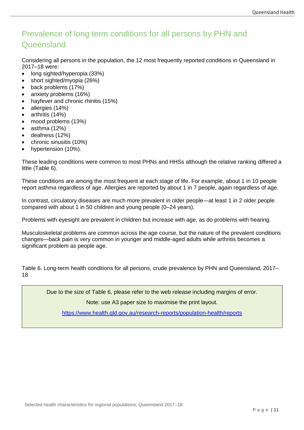## Prevalence of long term conditions for all persons by PHN and **Queensland**

Considering all persons in the population, the 12 most frequently reported conditions in Queensland in 2017–18 were:

- long sighted/hyperopia (33%)
- short sighted/myopia (26%)
- back problems (17%)
- anxiety problems (16%)
- hayfever and chronic rhinitis (15%)
- allergies (14%)
- arthritis (14%)
- mood problems (13%)
- $\bullet$  asthma (12%)
- deafness (12%)
- chronic sinusitis (10%)
- hypertension (10%).

These leading conditions were common to most PHNs and HHSs although the relative ranking differed a little [\(Table 6\)](#page-10-1).

These conditions are among the most frequent at each stage of life. For example, about 1 in 10 people report asthma regardless of age. Allergies are reported by about 1 in 7 people, again regardless of age.

In contrast, circulatory diseases are much more prevalent in older people—at least 1 in 2 older people compared with about 1 in 50 children and young people (0–24 years).

Problems with eyesight are prevalent in children but increase with age, as do problems with hearing.

Musculoskeletal problems are common across the age course, but the nature of the prevalent conditions changes—back pain is very common in younger and middle-aged adults while arthritis becomes a significant problem as people age.

<span id="page-10-1"></span>Table 6. Long-term health conditions for all persons, crude prevalence by PHN and Queensland, 2017– 18

<span id="page-10-0"></span>Due to the size of Table 6, please refer to the web release including margins of error.

Note: use A3 paper size to maximise the print layout.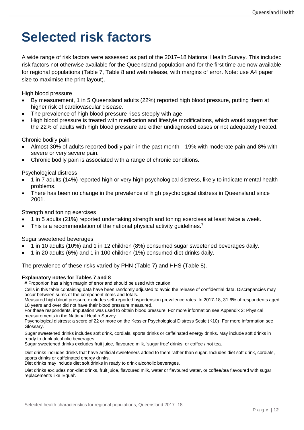## **Selected risk factors**

A wide range of risk factors were assessed as part of the 2017–18 National Health Survey. This included risk factors not otherwise available for the Queensland population and for the first time are now available for regional populations [\(Table 7,](#page-12-0) [Table 8](#page-13-0) and web release, with margins of error. Note: use A4 paper size to maximise the print layout).

High blood pressure

- By measurement, 1 in 5 Queensland adults (22%) reported high blood pressure, putting them at higher risk of cardiovascular disease.
- The prevalence of high blood pressure rises steeply with age.
- High blood pressure is treated with medication and lifestyle modifications, which would suggest that the 22% of adults with high blood pressure are either undiagnosed cases or not adequately treated.

Chronic bodily pain

- Almost 30% of adults reported bodily pain in the past month—19% with moderate pain and 8% with severe or very severe pain.
- Chronic bodily pain is associated with a range of chronic conditions.

Psychological distress

- 1 in 7 adults (14%) reported high or very high psychological distress, likely to indicate mental health problems.
- There has been no change in the prevalence of high psychological distress in Queensland since 2001.

Strength and toning exercises

- 1 in 5 adults (21%) reported undertaking strength and toning exercises at least twice a week.
- This is a recommendation of the national physical activity guidelines.<sup>7</sup>

Sugar sweetened beverages

- 1 in 10 adults (10%) and 1 in 12 children (8%) consumed sugar sweetened beverages daily.
- 1 in 20 adults (6%) and 1 in 100 children (1%) consumed diet drinks daily.

The prevalence of these risks varied by PHN [\(Table 7\)](#page-12-0) and HHS [\(Table 8\)](#page-13-0).

#### **Explanatory notes for Tables 7 and 8**

# Proportion has a high margin of error and should be used with caution.

Cells in this table containing data have been randomly adjusted to avoid the release of confidential data. Discrepancies may occur between sums of the component items and totals.

Measured high blood pressure excludes self-reported hypertension prevalence rates. In 2017-18, 31.6% of respondents aged 18 years and over did not have their blood pressure measured.

For these respondents, imputation was used to obtain blood pressure. For more information see Appendix 2: Physical measurements in the National Health Survey.

Psychological distress: a score of 22 or more on the Kessler Psychological Distress Scale (K10). For more information see Glossary.

Sugar sweetened drinks includes soft drink, cordials, sports drinks or caffeinated energy drinks. May include soft drinks in ready to drink alcoholic beverages.

Sugar sweetened drinks excludes fruit juice, flavoured milk, 'sugar free' drinks, or coffee / hot tea.

Diet drinks includes drinks that have artificial sweeteners added to them rather than sugar. Includes diet soft drink, cordials, sports drinks or caffeinated energy drinks.

Diet drinks may include diet soft drinks in ready to drink alcoholic beverages.

Diet drinks excludes non-diet drinks, fruit juice, flavoured milk, water or flavoured water, or coffee/tea flavoured with sugar replacements like 'Equal'.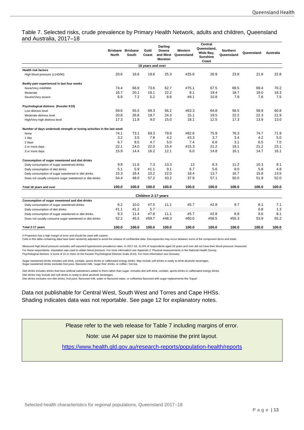#### <span id="page-12-0"></span>Table 7. Selected risks, crude prevalence by Primary Health Network, adults and children, Queensland and Australia, 2017–18

|                                                                         | <b>North</b> | <b>Brisbane Brisbane</b><br>South | Gold<br>Coast       | <b>Darling</b><br><b>Downs</b><br>and West<br><b>Moreton</b> | Western<br>Queensland | Central<br>Queensland.<br>Wide Bay,<br><b>Sunshine</b><br>Coast | Northern<br>Queensland | Queensland | Australia |
|-------------------------------------------------------------------------|--------------|-----------------------------------|---------------------|--------------------------------------------------------------|-----------------------|-----------------------------------------------------------------|------------------------|------------|-----------|
|                                                                         |              |                                   | 18 years and over   |                                                              |                       |                                                                 |                        |            |           |
| <b>Health risk factors</b><br>High blood pressure (≥140/90)             | 20.6         | 16.6                              | 19.6                | 25.3                                                         | #25.6                 | 26.9                                                            | 23.8                   | 21.8       | 22.8      |
| Bodily pain experienced in last four weeks                              |              |                                   |                     |                                                              |                       |                                                                 |                        |            |           |
| None/Very mild/Mild                                                     | 74.4         | 66.6                              | 73.6                | 62.7                                                         | #75.1                 | 67.5                                                            | 69.5                   | 69.4       | 70.2      |
| Moderate                                                                | 16.7         | 20.1                              | 18.1                | 22.2                                                         | 8.1                   | 19.4                                                            | 18.7                   | 19.0       | 18.3      |
| Severe/Very severe                                                      | 6.9          | 7.2                               | 5.2                 | 8.8                                                          | #9.1                  | 10.8                                                            | 7.9                    | 7.8        | 7.5       |
| Psychological distress (Kessler K10)                                    |              |                                   |                     |                                                              |                       |                                                                 |                        |            |           |
| Low distress level                                                      | 59.6         | 55.5                              | 69.3                | 56.2                                                         | #63.3                 | 64.8                                                            | 56.5                   | 59.9       | 60.8      |
| Moderate distress level                                                 | 20.8         | 26.8                              | 19.7                | 24.3                                                         | 15.1                  | 19.5                                                            | 22.2                   | 22.3       | 21.9      |
| High/Very high distress level                                           | 17.3         | 11.8                              | 9.0                 | 15.0                                                         | 18.1                  | 12.5                                                            | 17.3                   | 13.9       | 13.0      |
| Number of days undertook strength or toning activities in the last week |              |                                   |                     |                                                              |                       |                                                                 |                        |            |           |
| None                                                                    | 74.1         | 73.1                              | 69.3                | 79.9                                                         | #82.6                 | 75.9                                                            | 76.3                   | 74.7       | 71.9      |
| 1 day                                                                   | 3.2          | 3.5                               | 7.8                 | 4.2                                                          | #3.3                  | 3.7                                                             | 3.4                    | 4.2        | 5.0       |
| 2 days                                                                  | 6.7          | 8.5                               | 4.7                 | 5.0                                                          | 7.4                   | 6.6                                                             | 3.1                    | 6.5        | 7.0       |
| 2 or more days                                                          | 22.1         | 24.0                              | 22.0                | 15.4                                                         | #15.3                 | 21.2                                                            | 19.1                   | 21.2       | 23.1      |
| 3 or more days                                                          | 15.9         | 14.4                              | 16.2                | 12.1                                                         | 6.0                   | 14.8                                                            | 16.1                   | 14.7       | 16.1      |
| Consumption of sugar sweetened and diet drinks                          |              |                                   |                     |                                                              |                       |                                                                 |                        |            |           |
| Daily consumption of sugar sweetened drinks                             | 9.8          | 11.6                              | 7.3                 | 13.3                                                         | 13                    | 8.3                                                             | 11.2                   | 10.3       | 9.1       |
| Daily consumption of diet drinks                                        | 5.1          | 5.9                               | #1.1                | 9.1                                                          | 6.7                   | 5.6                                                             | 8.0                    | 5.8        | 4.8       |
| Daily consumption of sugar sweetened or diet drinks                     | 15.3         | 16.4                              | 10.2                | 22.0                                                         | 18.4                  | 13.7                                                            | 16.7                   | 15.8       | 13.5      |
| Does not usually consume sugar sweetened or diet drinks                 | 54.4         | 48.0                              | 57.2                | 43.2                                                         | 37.9                  | 57.1                                                            | 50.0                   | 51.9       | 52.0      |
| Total 18 years and over                                                 | 100.0        | 100.0                             | 100.0               | 100.0                                                        | 100.0                 | 100.0                                                           | 100.0                  | 100.0      | 100.0     |
|                                                                         |              |                                   | Children 2-17 years |                                                              |                       |                                                                 |                        |            |           |
| Consumption of sugar sweetened and diet drinks                          |              |                                   |                     |                                                              |                       |                                                                 |                        |            |           |
| Daily consumption of sugar sweetened drinks                             | 6.2          | 10.0                              | #7.5                | 11.1                                                         | #5.7                  | #2.8                                                            | 9.7                    | 8.1        | 7.1       |
| Daily consumption of diet drinks                                        | #1.1         | #1.2                              | 5.7                 |                                                              |                       |                                                                 |                        | 0.8        | 1.3       |
| Daily consumption of sugar sweetened or diet drinks                     | 8.3          | 11.4                              | #7.8                | 11.1                                                         | #5.7                  | #2.8                                                            | 8.9                    | 8.6        | 8.1       |
| Does not usually consume sugar sweetened or diet drinks                 | 52.2         | 45.5                              | #59.7               | #48.3                                                        | #60.0                 | #58.5                                                           | #55.3                  | 53.9       | 55.2      |
| Total 2-17 years                                                        | 100.0        | 100.0                             | 100.0               | 100.0                                                        | 100.0                 | 100.0                                                           | 100.0                  | 100.0      | 100.0     |

# Proportion has a high margin of error and should be used with caution.

Cells in this table containing data have been randomly adjusted to avoid the release of confidential data. Discrepancies may occur between sums of the component items and totals.

asured high blood pressure excludes self-reported hypertension prevalence rates. In 2017-18, 31.6% of respondents aged 18 years and over did not have their blood pressure measured. For these respondents, imputation was used to obtain blood pressure. For more information see Appendix 2: Physical measurements in the National Health Survey. Psychological distress: a score of 22 or more on the Kessler Psychological Distress Scale (K10). For more information see Glossary.

Sugar sweetened drinks includes soft drink, cordials, sports drinks or caffeinated energy drinks. May include soft drinks in ready to drink alcoholic beverages.<br>Sugar sweetened drinks excludes fruit juice, flavoured milk,

Diet drinks includes drinks that have artificial sweeteners added to them rather than sugar. Includes diet soft drink, cordials, sports drinks or caffeinated energy drinks. Diet drinks may include diet soft drinks in ready to drink alcoholic beverages. Diet drinks excludes non-diet drinks, fruit juice, flavoured milk, water or flavoured water, or coffee/tea flavoured with sugar replacements like 'Equal'.

Data not publishable for Central West, South West and Torres and Cape HHSs. Shading indicates data was not reportable. See page 12 for explanatory notes.

Please refer to the web release for Table 7 including margins of error.

#### Note: use A4 paper size to maximise the print layout.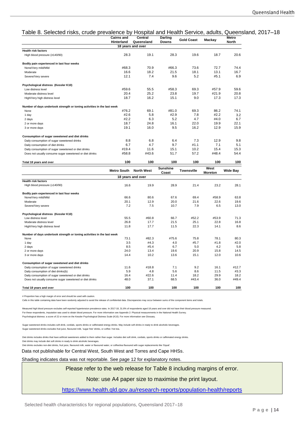#### <span id="page-13-0"></span>Table 8. Selected risks, crude prevalence by Hospital and Health Service, adults, Queensland, 2017–18

|                                                                         | <b>Cairns and</b> | Central           | Darling      | <b>Gold Coast</b> | Mackay | Metro        |  |
|-------------------------------------------------------------------------|-------------------|-------------------|--------------|-------------------|--------|--------------|--|
|                                                                         | Hinterland        | Queensland        | <b>Downs</b> |                   |        | <b>North</b> |  |
|                                                                         |                   | 18 years and over |              |                   |        |              |  |
| <b>Health risk factors</b>                                              |                   |                   |              |                   |        |              |  |
| High blood pressure (≥140/90)                                           | 28.3              | 19.1              | 28.3         | 19.6              | 18.7   | 20.6         |  |
| Bodily pain experienced in last four weeks                              |                   |                   |              |                   |        |              |  |
| None/Very mild/Mild                                                     | #68.3             | 70.9              | #66.3        | 73.6              | 72.7   | 74.4         |  |
| Moderate                                                                | 16.6              | 18.2              | 21.5         | 18.1              | 13.1   | 16.7         |  |
| Severe/Very severe                                                      | 12.1              | 7.4               | 9.6          | 5.2               | #5.1   | 6.9          |  |
| Psychological distress (Kessler K10)                                    |                   |                   |              |                   |        |              |  |
| Low distress level                                                      | #59.6             | 55.5              | #58.3        | 69.3              | #57.9  | 59.6         |  |
| Moderate distress level                                                 | 20.4              | 25.2              | 23.8         | 19.7              | #21.9  | 20.8         |  |
| High/Very high distress level                                           | 18.7              | 16.2              | 15.1         | 9.0               | 17.3   | 17.3         |  |
| Number of days undertook strength or toning activities in the last week |                   |                   |              |                   |        |              |  |
| None                                                                    | #76.2             | 69.1              | #81.0        | 69.3              | 86.2   | 74.1         |  |
| 1 day                                                                   | #2.6              | 5.8               | #2.9         | 7.8               | #2.2   | 3.2          |  |
| 2 days                                                                  | #2.2              | 6.3               | 5.2          | 4.7               | #4.0   | 6.7          |  |
| 2 or more days                                                          | 18.7              | 24.8              | 16.1         | 22.0              | 19.9   | 22.1         |  |
| 3 or more days                                                          | 19.1              | 16.0              | 9.5          | 16.2              | 12.9   | 15.9         |  |
| Consumption of sugar sweetened and diet drinks                          |                   |                   |              |                   |        |              |  |
| Daily consumption of sugar sweetened drinks                             | 8.8               | 6.8               | 6.4          | 7.3               | 12.9   | 9.8          |  |
| Daily consumption of diet drinks                                        | 6.7               | 4.7               | 9.7          | #1.1              | 7.1    | 5.1          |  |
| Daily consumption of sugar sweetened or diet drinks                     | #19.4             | 11.6              | 15.1         | 10.2              | 15.4   | 15.3         |  |
| Does not usually consume sugar sweetened or diet drinks                 | #58.8             | #43.6             | 51.7         | 57.2              | #48.4  | 54.4         |  |
| Total 18 years and over                                                 | 100               | 100               | 100          | 100               | 100    | 100          |  |

|                                                                         | <b>Metro South</b> | <b>North West</b> | Sunshine<br>Coast | <b>Townsville</b> | West<br><b>Moreton</b> | <b>Wide Bay</b> |  |  |  |  |  |
|-------------------------------------------------------------------------|--------------------|-------------------|-------------------|-------------------|------------------------|-----------------|--|--|--|--|--|
| 18 years and over                                                       |                    |                   |                   |                   |                        |                 |  |  |  |  |  |
| <b>Health risk factors</b>                                              |                    |                   |                   |                   |                        |                 |  |  |  |  |  |
| High blood pressure (≥140/90)                                           | 16.6               | 19.9              | 28.9              | 21.4              | 23.2                   | 28.1            |  |  |  |  |  |
| Bodily pain experienced in last four weeks                              |                    |                   |                   |                   |                        |                 |  |  |  |  |  |
| None/Very mild/Mild                                                     | 66.6               | 80.6              | 67.6              | 69.4              | #58.9                  | 63.8            |  |  |  |  |  |
| Moderate                                                                | 20.1               | 12.9              | 20.0              | 21.6              | 22.6                   | 19.6            |  |  |  |  |  |
| Severe/Very severe                                                      | 7.2                | 7.5               | 10.7              | 7.9               | 6.5                    | 13.0            |  |  |  |  |  |
| Psychological distress (Kessler K10)                                    |                    |                   |                   |                   |                        |                 |  |  |  |  |  |
| Low distress level                                                      | 55.5               | #60.8             | 66.7              | #52.2             | #53.9                  | 71.3            |  |  |  |  |  |
| Moderate distress level                                                 | 26.8               | 17.7              | 21.5              | 25.1              | 22.8                   | 16.8            |  |  |  |  |  |
| High/Very high distress level                                           | 11.8               | 17.7              | 11.5              | 22.3              | 14.1                   | 8.6             |  |  |  |  |  |
| Number of days undertook strength or toning activities in the last week |                    |                   |                   |                   |                        |                 |  |  |  |  |  |
| None                                                                    | 73.1               | #82.3             | #75.6             | 75.8              | 78.1                   | 80.3            |  |  |  |  |  |
| 1 day                                                                   | 3.5                | #4.3              | 4.0               | #5.7              | #1.8                   | #2.0            |  |  |  |  |  |
| 2 days                                                                  | 8.5                | #5.4              | 6.7               | 5.0               | 4.2                    | 5.8             |  |  |  |  |  |
| 2 or more days                                                          | 24.0               | 13.4              | 19.6              | 20.9              | 15.8                   | 14.5            |  |  |  |  |  |
| 3 or more days                                                          | 14.4               | 10.2              | 13.6              | 15.1              | 12.0                   | 10.6            |  |  |  |  |  |
| Consumption of sugar sweetened and diet drinks                          |                    |                   |                   |                   |                        |                 |  |  |  |  |  |
| Daily consumption of sugar sweetened drinks                             | 11.6               | #18.8             | 7.1               | 9.2               | 16.1                   | #12.7           |  |  |  |  |  |
| Daily consumption of diet drinks(b)                                     | 5.9                | 4.8               | 5.6               | 8.6               | 11.5                   | #3.3            |  |  |  |  |  |
| Daily consumption of sugar sweetened or diet drinks                     | 16.4               | #22.6             | 11.4              | 18.2              | 29.9                   | 18.2            |  |  |  |  |  |
| Does not usually consume sugar sweetened or diet drinks                 | 48.0               | 37.1              | 68.5              | #43.4             | 36.0                   | #49.4           |  |  |  |  |  |
| Total 18 years and over                                                 | 100                | 100               | 100               | 100               | 100                    | 100             |  |  |  |  |  |

# Proportion has a high margin of error and should be used with caution

Cells in this table containing data have been randomly adjusted to avoid the release of confidential data. Discrepancies may occur between sums of the component items and totals

Measured high blood pressure excludes self-reported hypertension prevalence rates. In 2017-18, 31.6% of respondents aged 18 years and over did not have their blood pressure measured. For these respondents, imputation was used to obtain blood pressure. For more information see Appendix 2: Physical measurements in the National Health Survey. Psychological distress: a score of 22 or more on the Kessler Psychological Distress Scale (K10). For more information see Glossary.

Sugar sweetened drinks includes soft drink, cordials, sports drinks or caffeinated energy drinks. May include soft drinks in ready to drink alcoholic beverages. Sugar sweetened drinks excludes fruit juice, flavoured milk, 'sugar free' drinks, or coffee / hot tea.

Diet drinks includes drinks that have artificial sweeteners added to them rather than sugar. Includes diet soft drink, cordials, sports drinks or caffeinated energy drinks.

Diet drinks may include diet soft drinks in ready to drink alcoholic beverages.

Diet drinks excludes non-diet drinks, fruit juice, flavoured milk, water or flavoured water, or coffee/tea flavoured with sugar replacements like 'Equal'.

Data not publishable for Central West, South West and Torres and Cape HHSs.

Shading indicates data was not reportable. See page 12 for explanatory notes.

Please refer to the web release for Table 8 including margins of error.

Note: use A4 paper size to maximise the print layout.